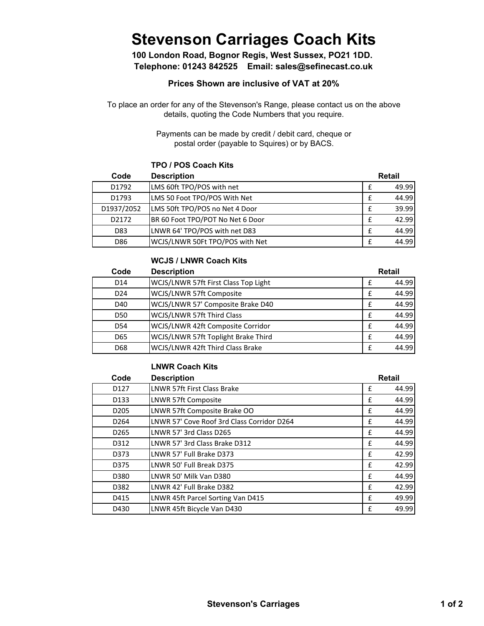# **Stevenson Carriages Coach Kits**

**Telephone: 01243 842525 Email: sales@sefinecast.co.uk 100 London Road, Bognor Regis, West Sussex, PO21 1DD.** 

### **Prices Shown are inclusive of VAT at 20%**

To place an order for any of the Stevenson's Range, please contact us on the above details, quoting the Code Numbers that you require.

> Payments can be made by credit / debit card, cheque or postal order (payable to Squires) or by BACS.

#### **TPO / POS Coach Kits**

| Code       | <b>Description</b>               | Retail |       |
|------------|----------------------------------|--------|-------|
| D1792      | LMS 60ft TPO/POS with net        | f      | 49.99 |
| D1793      | LMS 50 Foot TPO/POS With Net     |        | 44.99 |
| D1937/2052 | LMS 50ft TPO/POS no Net 4 Door   | f      | 39.99 |
| D2172      | BR 60 Foot TPO/POT No Net 6 Door | f      | 42.99 |
| D83        | LNWR 64' TPO/POS with net D83    | f      | 44.99 |
| D86        | WCJS/LNWR 50Ft TPO/POS with Net  | f      | 44.99 |

#### **WCJS / LNWR Coach Kits**

| Code            | <b>Description</b>                   |   | <b>Retail</b> |
|-----------------|--------------------------------------|---|---------------|
| D <sub>14</sub> | WCJS/LNWR 57ft First Class Top Light | f | 44.99         |
| D <sub>24</sub> | WCJS/LNWR 57ft Composite             | f | 44.99         |
| D40             | WCJS/LNWR 57' Composite Brake D40    | f | 44.99         |
| D <sub>50</sub> | WCJS/LNWR 57ft Third Class           | f | 44.99         |
| D <sub>54</sub> | WCJS/LNWR 42ft Composite Corridor    | f | 44.99         |
| D65             | WCJS/LNWR 57ft Toplight Brake Third  | f | 44.99         |
| D68             | WCJS/LNWR 42ft Third Class Brake     |   | 44.99         |

#### **LNWR Coach Kits**

| Code             | <b>Description</b>                         |   | <b>Retail</b> |
|------------------|--------------------------------------------|---|---------------|
| D <sub>127</sub> | LNWR 57ft First Class Brake                | £ | 44.99         |
| D <sub>133</sub> | LNWR 57ft Composite                        | £ | 44.99         |
| D <sub>205</sub> | LNWR 57ft Composite Brake OO               | £ | 44.99         |
| D <sub>264</sub> | LNWR 57' Cove Roof 3rd Class Corridor D264 | £ | 44.99         |
| D <sub>265</sub> | LNWR 57' 3rd Class D265                    | £ | 44.99         |
| D312             | LNWR 57' 3rd Class Brake D312              | £ | 44.99         |
| D373             | LNWR 57' Full Brake D373                   | £ | 42.99         |
| D375             | LNWR 50' Full Break D375                   | £ | 42.99         |
| D380             | LNWR 50' Milk Van D380                     | £ | 44.99         |
| D382             | LNWR 42' Full Brake D382                   | £ | 42.99         |
| D415             | LNWR 45ft Parcel Sorting Van D415          | £ | 49.99         |
| D430             | LNWR 45ft Bicycle Van D430                 | £ | 49.99         |